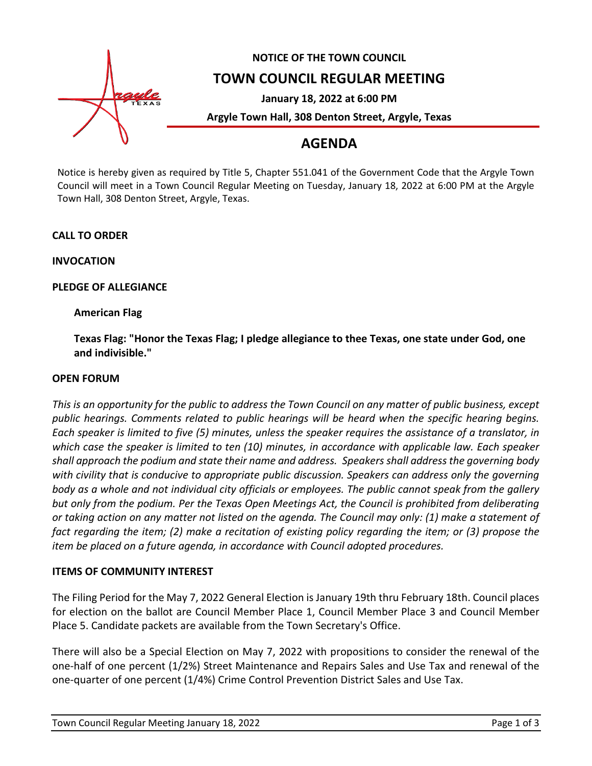

# **NOTICE OF THE TOWN COUNCIL**

## **TOWN COUNCIL REGULAR MEETING**

**January 18, 2022 at 6:00 PM**

**Argyle Town Hall, 308 Denton Street, Argyle, Texas**

# **AGENDA**

Notice is hereby given as required by Title 5, Chapter 551.041 of the Government Code that the Argyle Town Council will meet in a Town Council Regular Meeting on Tuesday, January 18, 2022 at 6:00 PM at the Argyle Town Hall, 308 Denton Street, Argyle, Texas.

## **CALL TO ORDER**

**INVOCATION**

## **PLEDGE OF ALLEGIANCE**

## **American Flag**

**Texas Flag: "Honor the Texas Flag; I pledge allegiance to thee Texas, one state under God, one and indivisible."**

### **OPEN FORUM**

*This is an opportunity for the public to address the Town Council on any matter of public business, except public hearings. Comments related to public hearings will be heard when the specific hearing begins. Each speaker is limited to five (5) minutes, unless the speaker requires the assistance of a translator, in which case the speaker is limited to ten (10) minutes, in accordance with applicable law. Each speaker shall approach the podium and state their name and address. Speakers shall address the governing body with civility that is conducive to appropriate public discussion. Speakers can address only the governing body as a whole and not individual city officials or employees. The public cannot speak from the gallery but only from the podium. Per the Texas Open Meetings Act, the Council is prohibited from deliberating or taking action on any matter not listed on the agenda. The Council may only: (1) make a statement of fact regarding the item; (2) make a recitation of existing policy regarding the item; or (3) propose the item be placed on a future agenda, in accordance with Council adopted procedures.*

### **ITEMS OF COMMUNITY INTEREST**

The Filing Period for the May 7, 2022 General Election is January 19th thru February 18th. Council places for election on the ballot are Council Member Place 1, Council Member Place 3 and Council Member Place 5. Candidate packets are available from the Town Secretary's Office.

There will also be a Special Election on May 7, 2022 with propositions to consider the renewal of the one-half of one percent (1/2%) Street Maintenance and Repairs Sales and Use Tax and renewal of the one-quarter of one percent (1/4%) Crime Control Prevention District Sales and Use Tax.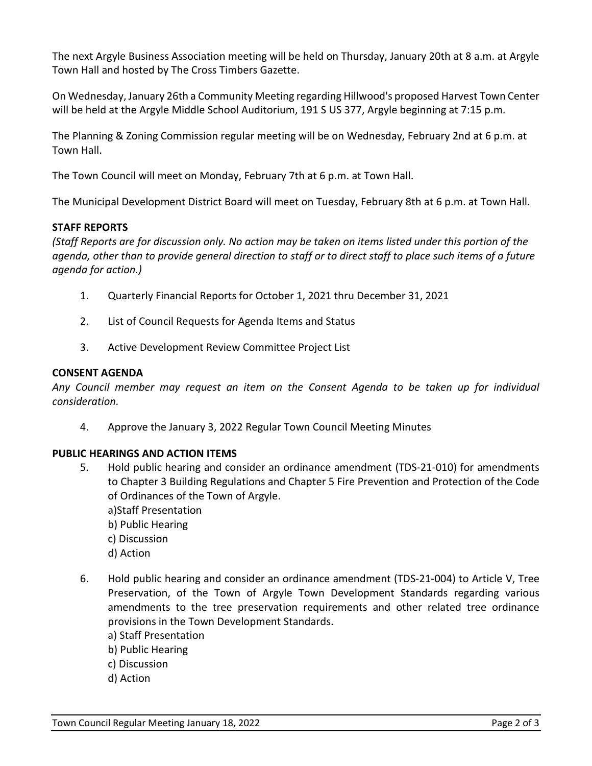The next Argyle Business Association meeting will be held on Thursday, January 20th at 8 a.m. at Argyle Town Hall and hosted by The Cross Timbers Gazette.

On Wednesday, January 26th a Community Meeting regarding Hillwood's proposed Harvest Town Center will be held at the Argyle Middle School Auditorium, 191 S US 377, Argyle beginning at 7:15 p.m.

The Planning & Zoning Commission regular meeting will be on Wednesday, February 2nd at 6 p.m. at Town Hall.

The Town Council will meet on Monday, February 7th at 6 p.m. at Town Hall.

The Municipal Development District Board will meet on Tuesday, February 8th at 6 p.m. at Town Hall.

## **STAFF REPORTS**

*(Staff Reports are for discussion only. No action may be taken on items listed under this portion of the agenda, other than to provide general direction to staff or to direct staff to place such items of a future agenda for action.)*

- 1. Quarterly Financial Reports for October 1, 2021 thru December 31, 2021
- 2. List of Council Requests for Agenda Items and Status
- 3. Active Development Review Committee Project List

## **CONSENT AGENDA**

*Any Council member may request an item on the Consent Agenda to be taken up for individual consideration.*

4. Approve the January 3, 2022 Regular Town Council Meeting Minutes

## **PUBLIC HEARINGS AND ACTION ITEMS**

- 5. Hold public hearing and consider an ordinance amendment (TDS-21-010) for amendments to Chapter 3 Building Regulations and Chapter 5 Fire Prevention and Protection of the Code of Ordinances of the Town of Argyle.
	- a)Staff Presentation
	- b) Public Hearing
	- c) Discussion
	- d) Action
- 6. Hold public hearing and consider an ordinance amendment (TDS-21-004) to Article V, Tree Preservation, of the Town of Argyle Town Development Standards regarding various amendments to the tree preservation requirements and other related tree ordinance provisions in the Town Development Standards.
	- a) Staff Presentation
	- b) Public Hearing
	- c) Discussion
	- d) Action